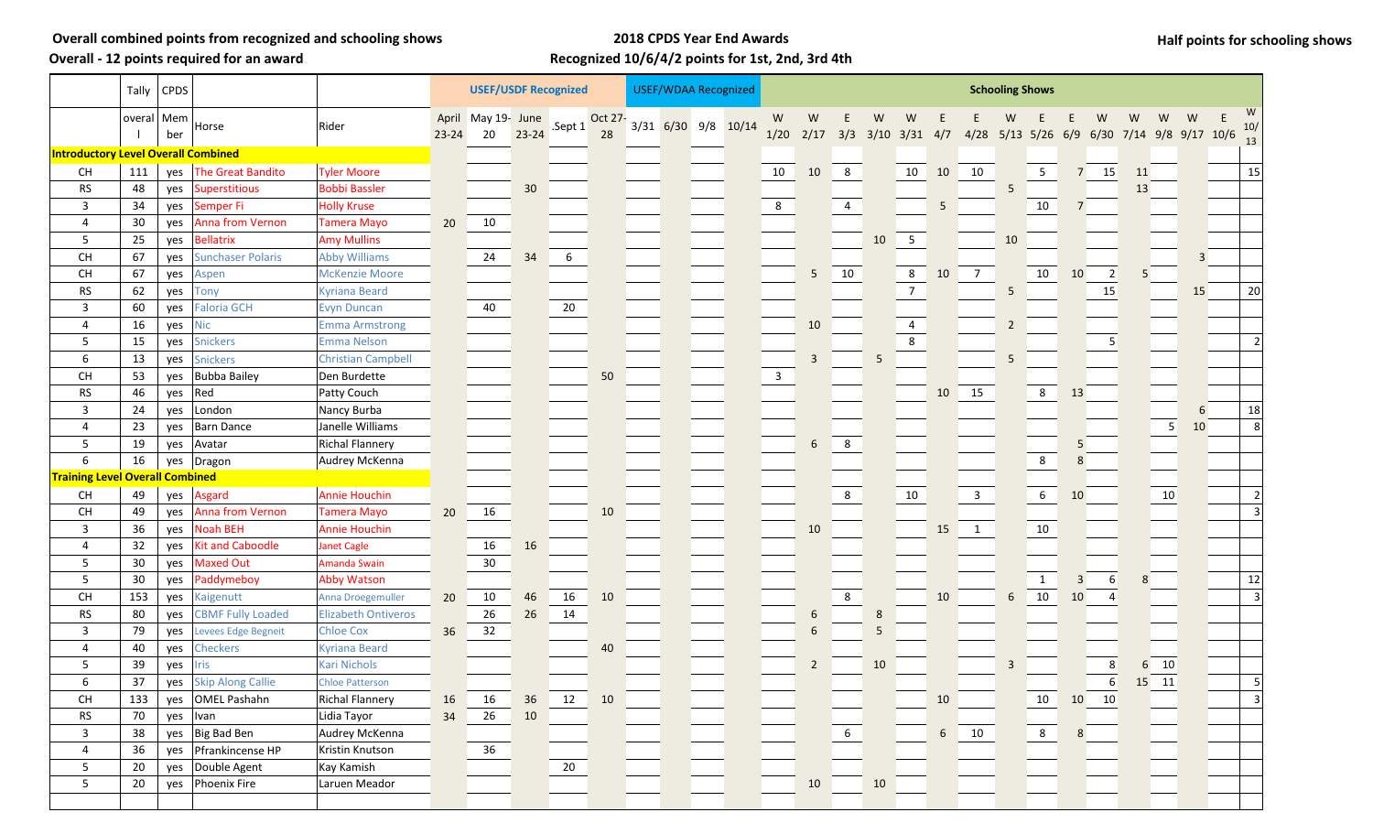**Overall - 12 points required for an award**

## **2018 CPDS Year End Awards Recognized 10/6/4/2 points for 1st, 2nd, 3rd 4th**

|  |  |  | Half points for schooling shows |  |
|--|--|--|---------------------------------|--|
|--|--|--|---------------------------------|--|

|                                            |              | Tally CPDS |                          |                            | <b>USEF/USDF Recognized</b> |                          |           |        |               |  | <b>USEF/WDAA Recognized</b> |  |  |              | <b>Schooling Shows</b>                                                      |                 |    |                 |                 |                         |                |                 |             |                |    |       |    |                |                   |
|--------------------------------------------|--------------|------------|--------------------------|----------------------------|-----------------------------|--------------------------|-----------|--------|---------------|--|-----------------------------|--|--|--------------|-----------------------------------------------------------------------------|-----------------|----|-----------------|-----------------|-------------------------|----------------|-----------------|-------------|----------------|----|-------|----|----------------|-------------------|
|                                            | overal   Mem | ber        | Horse                    | Rider                      | $23 - 24$                   | April May 19- June<br>20 | $23 - 24$ | Sept 1 | Oct 27-<br>28 |  | 3/31 6/30 9/8 10/14         |  |  | W            | W<br>1/20 2/17 3/3 3/10 3/31 4/7 4/28 5/13 5/26 6/9 6/30 7/14 9/8 9/17 10/6 | E.              | W  | W               |                 |                         | W              |                 |             | W              | W  | W     | W  | E<br>10/<br>13 |                   |
| <b>Introductory Level Overall Combined</b> |              |            |                          |                            |                             |                          |           |        |               |  |                             |  |  |              |                                                                             |                 |    |                 |                 |                         |                |                 |             |                |    |       |    |                |                   |
| <b>CH</b>                                  | 111          | yes        | The Great Bandito        | <b>Tyler Moore</b>         |                             |                          |           |        |               |  |                             |  |  | 10           | 10                                                                          | 8               |    | 10              | 10              | 10                      |                | 5               | $7^{\circ}$ | 15             | 11 |       |    |                | 15                |
| <b>RS</b>                                  | 48           | yes        | Superstitious            | <b>Bobbi Bassler</b>       |                             |                          | 30        |        |               |  |                             |  |  |              |                                                                             |                 |    |                 |                 |                         | 5              |                 |             |                | 13 |       |    |                |                   |
| $\mathbf{3}$                               | 34           | yes        | Semper Fi                | <b>Holly Kruse</b>         |                             |                          |           |        |               |  |                             |  |  | 8            |                                                                             | 4               |    |                 | 5               |                         |                | $10\,$          | 7           |                |    |       |    |                |                   |
| 4                                          | 30           | yes        | Anna from Vernon         | <b>Tamera Mayo</b>         | 20                          | 10                       |           |        |               |  |                             |  |  |              |                                                                             |                 |    |                 |                 |                         |                |                 |             |                |    |       |    |                |                   |
| $5\phantom{.0}$                            | 25           | yes        | <b>Bellatrix</b>         | <b>Amy Mullins</b>         |                             |                          |           |        |               |  |                             |  |  |              |                                                                             |                 | 10 | $5\overline{)}$ |                 |                         | 10             |                 |             |                |    |       |    |                |                   |
| CH                                         | 67           | yes        | <b>Sunchaser Polaris</b> | <b>Abby Williams</b>       |                             | 24                       | 34        | 6      |               |  |                             |  |  |              |                                                                             |                 |    |                 |                 |                         |                |                 |             |                |    |       | 3  |                |                   |
| <b>CH</b>                                  | 67           | yes        | Aspen                    | <b>McKenzie Moore</b>      |                             |                          |           |        |               |  |                             |  |  |              | 5                                                                           | 10              |    | 8               | 10              | $\overline{7}$          |                | 10              | 10          | $\vert$ 2      |    |       |    |                |                   |
| <b>RS</b>                                  | 62           | yes        | <b>Tony</b>              | <b>Kyriana Beard</b>       |                             |                          |           |        |               |  |                             |  |  |              |                                                                             |                 |    | 7 <sup>7</sup>  |                 |                         | 5              |                 |             | 15             |    |       | 15 |                | 20                |
| 3                                          | 60           | yes        | <b>Faloria GCH</b>       | <b>Evyn Duncan</b>         |                             | 40                       |           | 20     |               |  |                             |  |  |              |                                                                             |                 |    |                 |                 |                         |                |                 |             |                |    |       |    |                |                   |
| $\overline{4}$                             | 16           | yes        | <b>Nic</b>               | <b>Emma Armstrong</b>      |                             |                          |           |        |               |  |                             |  |  |              | 10                                                                          |                 |    | $\overline{4}$  |                 |                         | $\overline{2}$ |                 |             |                |    |       |    |                |                   |
| 5                                          | 15           | yes        | Snickers                 | <b>Emma Nelson</b>         |                             |                          |           |        |               |  |                             |  |  |              |                                                                             |                 |    | 8               |                 |                         |                |                 |             | 5              |    |       |    |                |                   |
| 6                                          | 13           | yes        | <b>Snickers</b>          | <b>Christian Campbell</b>  |                             |                          |           |        |               |  |                             |  |  |              | 3                                                                           |                 | 5. |                 |                 |                         | 5              |                 |             |                |    |       |    |                |                   |
| <b>CH</b>                                  | 53           | yes        | <b>Bubba Bailey</b>      | Den Burdette               |                             |                          |           |        | 50            |  |                             |  |  | $\mathbf{3}$ |                                                                             |                 |    |                 |                 |                         |                |                 |             |                |    |       |    |                |                   |
| <b>RS</b>                                  | 46           | yes        | Red                      | Patty Couch                |                             |                          |           |        |               |  |                             |  |  |              |                                                                             |                 |    |                 | 10              | 15                      |                | 8               | 13          |                |    |       |    |                |                   |
| 3                                          | 24           | yes        | London                   | Nancy Burba                |                             |                          |           |        |               |  |                             |  |  |              |                                                                             |                 |    |                 |                 |                         |                |                 |             |                |    |       | 6  |                | 18                |
| 4                                          | 23           | yes        | Barn Dance               | Janelle Williams           |                             |                          |           |        |               |  |                             |  |  |              |                                                                             |                 |    |                 |                 |                         |                |                 |             |                |    | 5     | 10 |                | 8                 |
| $5\phantom{.0}$                            | 19           | yes        | Avatar                   | <b>Richal Flannery</b>     |                             |                          |           |        |               |  |                             |  |  |              | 6                                                                           | $8\phantom{1}$  |    |                 |                 |                         |                |                 | 5           |                |    |       |    |                |                   |
| 6                                          | 16           | yes        | Dragon                   | Audrey McKenna             |                             |                          |           |        |               |  |                             |  |  |              |                                                                             |                 |    |                 |                 |                         |                | $8\phantom{1}$  |             |                |    |       |    |                |                   |
| <b>Training Level Overall Combined</b>     |              |            |                          |                            |                             |                          |           |        |               |  |                             |  |  |              |                                                                             |                 |    |                 |                 |                         |                |                 |             |                |    |       |    |                |                   |
| <b>CH</b>                                  | 49           | yes        | Asgard                   | <b>Annie Houchin</b>       |                             |                          |           |        |               |  |                             |  |  |              |                                                                             | $8\phantom{.0}$ |    | 10              |                 | $\overline{\mathbf{3}}$ |                | $6\overline{6}$ | 10          |                |    | 10    |    |                |                   |
| <b>CH</b>                                  | 49           | yes        | Anna from Vernon         | <b>Tamera Mayo</b>         | 20                          | 16                       |           |        | 10            |  |                             |  |  |              |                                                                             |                 |    |                 |                 |                         |                |                 |             |                |    |       |    |                |                   |
| 3                                          | 36           | yes        | <b>Noah BEH</b>          | <b>Annie Houchin</b>       |                             |                          |           |        |               |  |                             |  |  |              | 10                                                                          |                 |    |                 | 15              | $\sqrt{1}$              |                | 10              |             |                |    |       |    |                |                   |
| 4                                          | 32           | yes        | <b>Kit and Caboodle</b>  | <b>Janet Cagle</b>         |                             | 16                       | 16        |        |               |  |                             |  |  |              |                                                                             |                 |    |                 |                 |                         |                |                 |             |                |    |       |    |                |                   |
| 5                                          | 30           | yes        | <b>Maxed Out</b>         | Amanda Swain               |                             | 30 <sub>o</sub>          |           |        |               |  |                             |  |  |              |                                                                             |                 |    |                 |                 |                         |                |                 |             |                |    |       |    |                |                   |
| $5\phantom{.0}$                            | 30           | yes        | Paddymeboy               | <b>Abby Watson</b>         |                             |                          |           |        |               |  |                             |  |  |              |                                                                             |                 |    |                 |                 |                         |                | $\mathbf{1}$    | 3           | 6              |    |       |    |                | 12                |
| CH                                         | 153          | yes        | Kaigenutt                | Anna Droegemuller          | 20                          | 10                       | 46        | 16     | 10            |  |                             |  |  |              |                                                                             | $8\phantom{.}$  |    |                 | 10              |                         | 6              | 10              | 10          | $\overline{4}$ |    |       |    |                |                   |
| <b>RS</b>                                  | 80           | yes        | <b>CBMF Fully Loaded</b> | <b>Elizabeth Ontiveros</b> |                             | 26                       | 26        | 14     |               |  |                             |  |  |              | 6                                                                           |                 | 8  |                 |                 |                         |                |                 |             |                |    |       |    |                |                   |
| $\overline{3}$                             | 79           | yes        | Levees Edge Begneit      | <b>Chloe Cox</b>           | 36                          | 32                       |           |        |               |  |                             |  |  |              | 6                                                                           |                 | 5  |                 |                 |                         |                |                 |             |                |    |       |    |                |                   |
| 4                                          | 40           | yes        | <b>Checkers</b>          | <b>Kyriana Beard</b>       |                             |                          |           |        | 40            |  |                             |  |  |              |                                                                             |                 |    |                 |                 |                         |                |                 |             |                |    |       |    |                |                   |
| 5                                          | 39           | yes        | <b>Iris</b>              | <b>Kari Nichols</b>        |                             |                          |           |        |               |  |                             |  |  |              | $\overline{2}$                                                              |                 | 10 |                 |                 |                         | 3              |                 |             | $\,8\,$        | 6  | 10    |    |                |                   |
| $\boldsymbol{6}$                           | 37           |            | yes Skip Along Callie    | <b>Chloe Patterson</b>     |                             |                          |           |        |               |  |                             |  |  |              |                                                                             |                 |    |                 |                 |                         |                |                 |             | 6 <sup>1</sup> |    | 15 11 |    |                |                   |
| <b>CH</b>                                  | 133          |            | yes OMEL Pashahn         | <b>Richal Flannery</b>     | 16                          | 16                       | 36        | 12     | 10            |  |                             |  |  |              |                                                                             |                 |    |                 | 10              |                         |                | 10              |             | 10 10          |    |       |    |                | $\lvert 3 \rvert$ |
| <b>RS</b>                                  | 70           |            | yes  Ivan                | Lidia Tayor                | 34                          | 26                       | 10        |        |               |  |                             |  |  |              |                                                                             |                 |    |                 |                 |                         |                |                 |             |                |    |       |    |                |                   |
| 3                                          | 38           |            | yes Big Bad Ben          | Audrey McKenna             |                             |                          |           |        |               |  |                             |  |  |              |                                                                             | $6\overline{6}$ |    |                 | $6\overline{)}$ | 10                      |                | $8\phantom{.0}$ | 8           |                |    |       |    |                |                   |
| 4                                          | 36           | yes        | Pfrankincense HP         | Kristin Knutson            |                             | 36                       |           |        |               |  |                             |  |  |              |                                                                             |                 |    |                 |                 |                         |                |                 |             |                |    |       |    |                |                   |
| $5\phantom{.0}$                            | 20           | yes        | Double Agent             | Kay Kamish                 |                             |                          |           | 20     |               |  |                             |  |  |              |                                                                             |                 |    |                 |                 |                         |                |                 |             |                |    |       |    |                |                   |
| 5                                          | 20           | yes        | Phoenix Fire             | Laruen Meador              |                             |                          |           |        |               |  |                             |  |  |              | 10                                                                          |                 | 10 |                 |                 |                         |                |                 |             |                |    |       |    |                |                   |
|                                            |              |            |                          |                            |                             |                          |           |        |               |  |                             |  |  |              |                                                                             |                 |    |                 |                 |                         |                |                 |             |                |    |       |    |                |                   |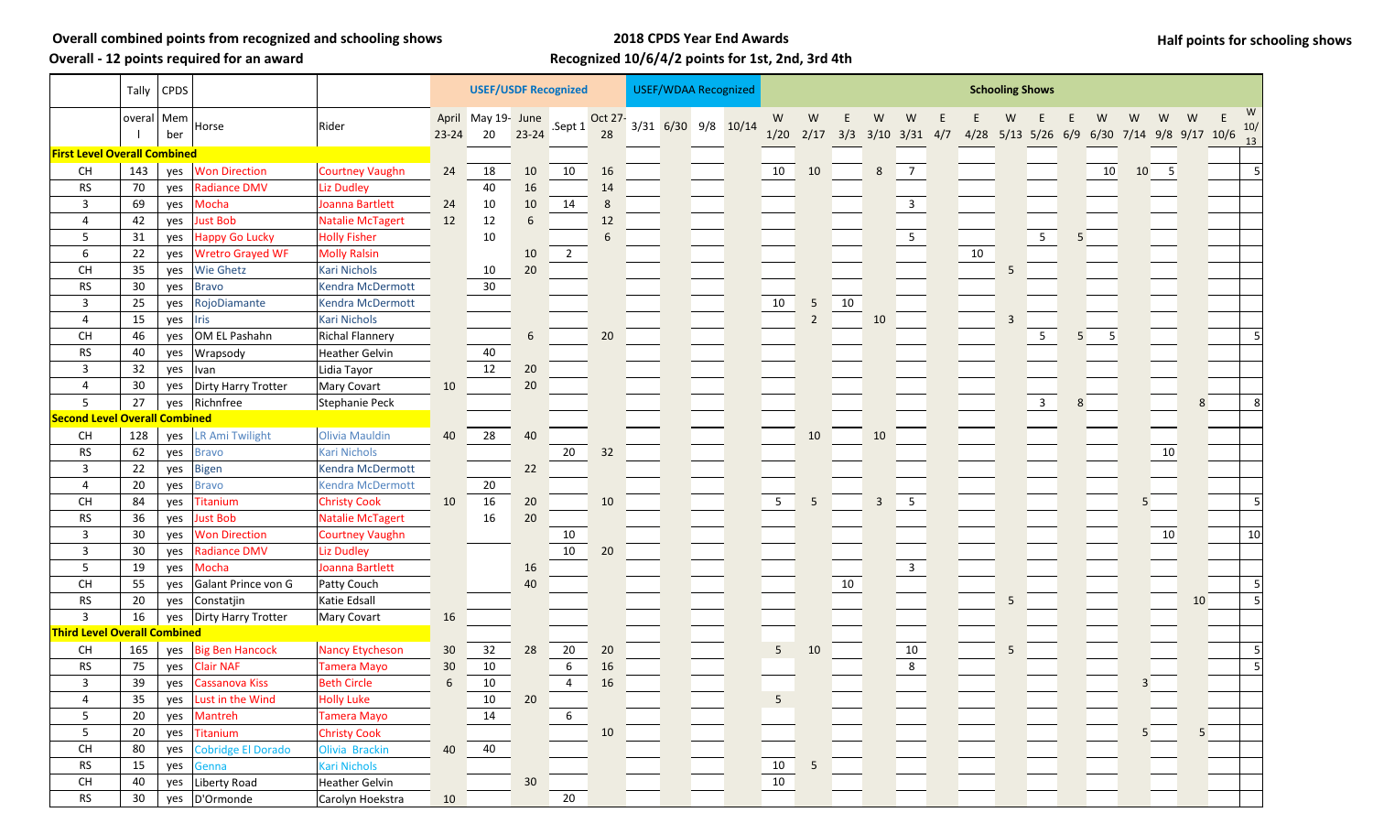### **Overall - 12 points required for an award**

### **2018 CPDS Year End Awards Recognized 10/6/4/2 points for 1st, 2nd, 3rd 4th**

**Half points for schooling shows**

|                                          | Tally      | $ $ CPDS |                         |                        | <b>USEF/WDAA Recognized</b><br><b>USEF/USDF Recognized</b> |                          |            |                |               |  |  |                     | <b>Schooling Shows</b> |                   |    |                          |                         |  |    |   |                                            |    |                 |                |                          |    |    |                |
|------------------------------------------|------------|----------|-------------------------|------------------------|------------------------------------------------------------|--------------------------|------------|----------------|---------------|--|--|---------------------|------------------------|-------------------|----|--------------------------|-------------------------|--|----|---|--------------------------------------------|----|-----------------|----------------|--------------------------|----|----|----------------|
|                                          | overal Mem | ber      | Horse                   | Rider                  | $23 - 24$                                                  | April May 19- June<br>20 | $23 - 24$  | .Sept 1        | Oct 27-<br>28 |  |  | 3/31 6/30 9/8 10/14 | W<br>1/20              | W<br>$2/17$ $3/3$ | E  | W<br>$3/10$ $3/31$ $4/7$ | W                       |  |    | W | 4/28 5/13 5/26 6/9 6/30 7/14 9/8 9/17 10/6 |    | W               | W              | W                        | W  | E. | W<br>10/<br>13 |
| <b>First Level Overall Combined</b>      |            |          |                         |                        |                                                            |                          |            |                |               |  |  |                     |                        |                   |    |                          |                         |  |    |   |                                            |    |                 |                |                          |    |    |                |
| <b>CH</b>                                | 143        | yes      | <b>Won Direction</b>    | <b>Courtney Vaughn</b> | 24                                                         | 18                       | 10         | 10             | 16            |  |  |                     | 10                     | 10                |    | 8                        | $7\overline{ }$         |  |    |   |                                            |    | 10 <sup>°</sup> | 10             | $\overline{\phantom{0}}$ |    |    |                |
| <b>RS</b>                                | 70         | yes      | <b>Radiance DMV</b>     | <b>Liz Dudley</b>      |                                                            | 40                       | 16         |                | 14            |  |  |                     |                        |                   |    |                          |                         |  |    |   |                                            |    |                 |                |                          |    |    |                |
| 3                                        | 69         | yes      | Mocha                   | Joanna Bartlett        | 24                                                         | 10                       | 10         | 14             | 8             |  |  |                     |                        |                   |    |                          | $\mathbf{3}$            |  |    |   |                                            |    |                 |                |                          |    |    |                |
| 4                                        | 42         | yes      | <b>Just Bob</b>         | Natalie McTagert       | 12                                                         | $12\,$                   | $\sqrt{6}$ |                | 12            |  |  |                     |                        |                   |    |                          |                         |  |    |   |                                            |    |                 |                |                          |    |    |                |
| 5                                        | 31         | yes      | Happy Go Lucky          | <b>Holly Fisher</b>    |                                                            | 10                       |            |                | 6             |  |  |                     |                        |                   |    |                          | $\overline{5}$          |  |    |   | 5 <sub>1</sub>                             | 5. |                 |                |                          |    |    |                |
| 6                                        | 22         | yes      | <b>Wretro Grayed WF</b> | <b>Molly Ralsin</b>    |                                                            |                          | 10         | $\overline{2}$ |               |  |  |                     |                        |                   |    |                          |                         |  | 10 |   |                                            |    |                 |                |                          |    |    |                |
| CH                                       | 35         | yes      | <b>Wie Ghetz</b>        | <b>Kari Nichols</b>    |                                                            | 10                       | 20         |                |               |  |  |                     |                        |                   |    |                          |                         |  |    | 5 |                                            |    |                 |                |                          |    |    |                |
| <b>RS</b>                                | 30         | yes      | <b>Bravo</b>            | Kendra McDermott       |                                                            | 30 <sup>°</sup>          |            |                |               |  |  |                     |                        |                   |    |                          |                         |  |    |   |                                            |    |                 |                |                          |    |    |                |
| 3                                        | 25         | yes      | RojoDiamante            | Kendra McDermott       |                                                            |                          |            |                |               |  |  |                     | $10\,$                 | 5                 | 10 |                          |                         |  |    |   |                                            |    |                 |                |                          |    |    |                |
| 4                                        | 15         | yes      | Iris                    | <b>Kari Nichols</b>    |                                                            |                          |            |                |               |  |  |                     |                        | $\overline{2}$    |    | 10                       |                         |  |    | 3 |                                            |    |                 |                |                          |    |    |                |
| CH                                       | 46         | yes      | OM EL Pashahn           | <b>Richal Flannery</b> |                                                            |                          | 6          |                | 20            |  |  |                     |                        |                   |    |                          |                         |  |    |   | 5 <sub>1</sub>                             | 5  | $5\phantom{.0}$ |                |                          |    |    |                |
| <b>RS</b>                                | 40         | yes      | Wrapsody                | <b>Heather Gelvin</b>  |                                                            | 40                       |            |                |               |  |  |                     |                        |                   |    |                          |                         |  |    |   |                                            |    |                 |                |                          |    |    |                |
| 3                                        | 32         | yes      | Ivan                    | Lidia Tayor            |                                                            | 12                       | 20         |                |               |  |  |                     |                        |                   |    |                          |                         |  |    |   |                                            |    |                 |                |                          |    |    |                |
| 4                                        | 30         | yes      | Dirty Harry Trotter     | Mary Covart            | 10                                                         |                          | 20         |                |               |  |  |                     |                        |                   |    |                          |                         |  |    |   |                                            |    |                 |                |                          |    |    |                |
| $\mathsf S$                              | 27         | yes      | Richnfree               | Stephanie Peck         |                                                            |                          |            |                |               |  |  |                     |                        |                   |    |                          |                         |  |    |   | $\overline{\mathbf{3}}$                    | 8  |                 |                |                          | 8  |    |                |
| <b>Second Level Overall Combined</b>     |            |          |                         |                        |                                                            |                          |            |                |               |  |  |                     |                        |                   |    |                          |                         |  |    |   |                                            |    |                 |                |                          |    |    |                |
| $\mathsf{CH}% \left( \mathcal{M}\right)$ | 128        | yes      | LR Ami Twilight         | <b>Olivia Mauldin</b>  | 40                                                         | 28                       | 40         |                |               |  |  |                     |                        | 10                |    | 10                       |                         |  |    |   |                                            |    |                 |                |                          |    |    |                |
| <b>RS</b>                                | 62         | yes      | <b>Bravo</b>            | <b>Kari Nichols</b>    |                                                            |                          |            | 20             | 32            |  |  |                     |                        |                   |    |                          |                         |  |    |   |                                            |    |                 |                | 10                       |    |    |                |
| $\mathsf 3$                              | 22         | yes      | <b>Bigen</b>            | Kendra McDermott       |                                                            |                          | 22         |                |               |  |  |                     |                        |                   |    |                          |                         |  |    |   |                                            |    |                 |                |                          |    |    |                |
| 4                                        | 20         | yes      | <b>Bravo</b>            | Kendra McDermott       |                                                            | 20                       |            |                |               |  |  |                     |                        |                   |    |                          |                         |  |    |   |                                            |    |                 |                |                          |    |    |                |
| CH                                       | 84         | yes      | <b>Titanium</b>         | <b>Christy Cook</b>    | 10                                                         | 16                       | 20         |                | 10            |  |  |                     | $5\overline{)}$        | 5                 |    | $\overline{3}$           | 5 <sub>1</sub>          |  |    |   |                                            |    |                 | 5 <sup>5</sup> |                          |    |    |                |
| <b>RS</b>                                | 36         | yes      | <b>Just Bob</b>         | Natalie McTagert       |                                                            | 16                       | 20         |                |               |  |  |                     |                        |                   |    |                          |                         |  |    |   |                                            |    |                 |                |                          |    |    |                |
| 3                                        | 30         | yes      | <b>Won Direction</b>    | <b>Courtney Vaughn</b> |                                                            |                          |            | 10             |               |  |  |                     |                        |                   |    |                          |                         |  |    |   |                                            |    |                 |                | 10                       |    |    | 10             |
| 3                                        | 30         | yes      | Radiance DMV            | <b>Liz Dudley</b>      |                                                            |                          |            | 10             | 20            |  |  |                     |                        |                   |    |                          |                         |  |    |   |                                            |    |                 |                |                          |    |    |                |
| 5                                        | 19         | yes      | Mocha                   | Joanna Bartlett        |                                                            |                          | 16         |                |               |  |  |                     |                        |                   |    |                          | $\overline{\mathbf{3}}$ |  |    |   |                                            |    |                 |                |                          |    |    |                |
| <b>CH</b>                                | 55         | yes      | Galant Prince von G     | Patty Couch            |                                                            |                          | 40         |                |               |  |  |                     |                        |                   | 10 |                          |                         |  |    |   |                                            |    |                 |                |                          |    |    |                |
| RS                                       | 20         | yes      | Constatjin              | Katie Edsall           |                                                            |                          |            |                |               |  |  |                     |                        |                   |    |                          |                         |  |    | 5 |                                            |    |                 |                |                          | 10 |    |                |
| 3                                        | 16         | yes      | Dirty Harry Trotter     | Mary Covart            | 16                                                         |                          |            |                |               |  |  |                     |                        |                   |    |                          |                         |  |    |   |                                            |    |                 |                |                          |    |    |                |
| <b>Third Level Overall Combined</b>      |            |          |                         |                        |                                                            |                          |            |                |               |  |  |                     |                        |                   |    |                          |                         |  |    |   |                                            |    |                 |                |                          |    |    |                |
| CH                                       | 165        | yes      | <b>Big Ben Hancock</b>  | <b>Nancy Etycheson</b> | 30                                                         | 32                       | 28         | 20             | 20            |  |  |                     | 5 <sub>1</sub>         | 10                |    |                          | $10\,$                  |  |    | 5 |                                            |    |                 |                |                          |    |    |                |
| ${\sf RS}$                               | 75         | yes      | <b>Clair NAF</b>        | <b>Tamera Mayo</b>     | $30\,$                                                     | 10                       |            | 6              | 16            |  |  |                     |                        |                   |    |                          | $\overline{\textbf{8}}$ |  |    |   |                                            |    |                 |                |                          |    |    |                |
| $\overline{3}$                           | 39         |          | yes Cassanova Kiss      | <b>Beth Circle</b>     | 6                                                          | $10\,$                   |            | 4              | 16            |  |  |                     |                        |                   |    |                          |                         |  |    |   |                                            |    |                 |                |                          |    |    |                |
| 4                                        | 35         | yes      | Lust in the Wind        | <b>Holly Luke</b>      |                                                            | 10                       | 20         |                |               |  |  |                     | $5\phantom{.0}$        |                   |    |                          |                         |  |    |   |                                            |    |                 |                |                          |    |    |                |
| 5                                        | 20         | yes      | Mantreh                 | Tamera Mayo            |                                                            | 14                       |            | 6              |               |  |  |                     |                        |                   |    |                          |                         |  |    |   |                                            |    |                 |                |                          |    |    |                |
| 5                                        | 20         | yes      | Titanium                | <b>Christy Cook</b>    |                                                            |                          |            |                | 10            |  |  |                     |                        |                   |    |                          |                         |  |    |   |                                            |    |                 | 5              |                          | 5  |    |                |
| CH                                       | 80         | yes      | Cobridge El Dorado      | Olivia Brackin         | 40                                                         | 40                       |            |                |               |  |  |                     |                        |                   |    |                          |                         |  |    |   |                                            |    |                 |                |                          |    |    |                |
| RS                                       | 15         | yes      | Genna                   | <b>Kari Nichols</b>    |                                                            |                          |            |                |               |  |  |                     | 10                     | 5                 |    |                          |                         |  |    |   |                                            |    |                 |                |                          |    |    |                |
| $\mathsf{CH}% \left( \mathcal{M}\right)$ | 40         | yes      | Liberty Road            | Heather Gelvin         |                                                            |                          | 30         |                |               |  |  |                     | 10                     |                   |    |                          |                         |  |    |   |                                            |    |                 |                |                          |    |    |                |
| <b>RS</b>                                | 30         | yes      | D'Ormonde               | Carolyn Hoekstra       | $10$                                                       |                          |            | $20\,$         |               |  |  |                     |                        |                   |    |                          |                         |  |    |   |                                            |    |                 |                |                          |    |    |                |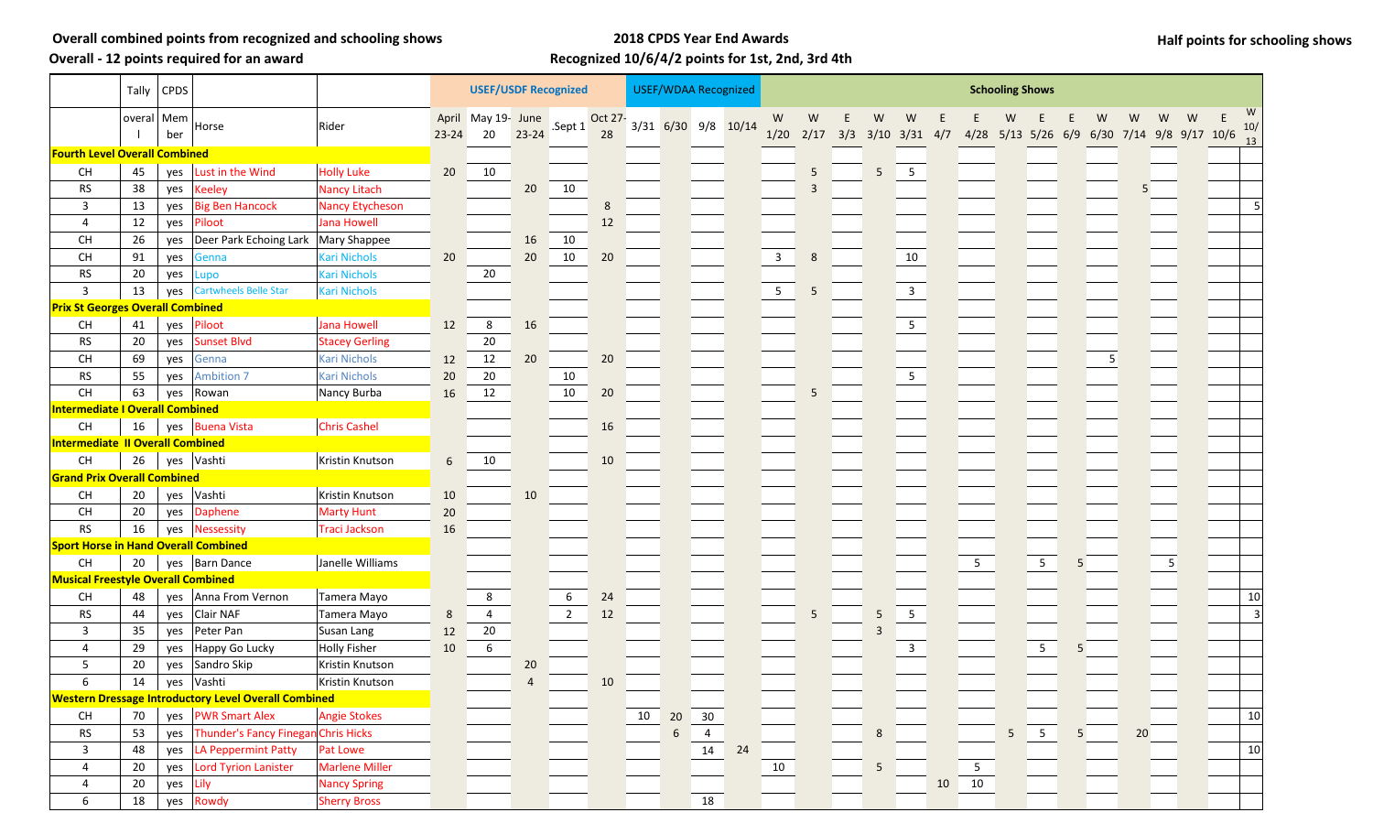**Overall - 12 points required for an award**

## **2018 CPDS Year End Awards Recognized 10/6/4/2 points for 1st, 2nd, 3rd 4th**

**Half points for schooling shows**

|                                             |              | Tally $ $ CPDS |                                                             |                        | <b>USEF/USDF Recognized</b> |                          |           |                 |               |    |            | <b>USEF/WDAA Recognized</b> |    | <b>Schooling Shows</b> |                   |   |                          |                         |  |                 |                                            |                 |                |    |    |   |     |
|---------------------------------------------|--------------|----------------|-------------------------------------------------------------|------------------------|-----------------------------|--------------------------|-----------|-----------------|---------------|----|------------|-----------------------------|----|------------------------|-------------------|---|--------------------------|-------------------------|--|-----------------|--------------------------------------------|-----------------|----------------|----|----|---|-----|
|                                             | overal   Mem | ber            | Horse                                                       | Rider                  | $23 - 24$                   | April May 19- June<br>20 | $23 - 24$ | Sept 1          | Oct 27-<br>28 |    |            | 3/31 6/30 9/8 10/14         |    | W<br>1/20              | W<br>$2/17$ $3/3$ | E | W<br>$3/10$ $3/31$ $4/7$ | W                       |  |                 | 4/28 5/13 5/26 6/9 6/30 7/14 9/8 9/17 10/6 |                 |                | w  | w  |   | 10/ |
| <b>Fourth Level Overall Combined</b>        |              |                |                                                             |                        |                             |                          |           |                 |               |    |            |                             |    |                        |                   |   |                          |                         |  |                 |                                            |                 |                |    |    |   | 13  |
| CH                                          | 45           | yes            | Lust in the Wind                                            | <b>Holly Luke</b>      | 20                          | 10                       |           |                 |               |    |            |                             |    |                        | 5                 |   | 5                        | $5\phantom{.0}$         |  |                 |                                            |                 |                |    |    |   |     |
| RS                                          | 38           | yes            | <b>Keeley</b>                                               | <b>Nancy Litach</b>    |                             |                          | 20        | 10              |               |    |            |                             |    |                        | 3                 |   |                          |                         |  |                 |                                            |                 |                |    | 5. |   |     |
| 3                                           | 13           | yes            | <b>Big Ben Hancock</b>                                      | <b>Nancy Etycheson</b> |                             |                          |           |                 | 8             |    |            |                             |    |                        |                   |   |                          |                         |  |                 |                                            |                 |                |    |    |   |     |
| 4                                           | 12           | yes            | Piloot                                                      | Jana Howell            |                             |                          |           |                 | 12            |    |            |                             |    |                        |                   |   |                          |                         |  |                 |                                            |                 |                |    |    |   |     |
| CH                                          | 26           | yes            | Deer Park Echoing Lark   Mary Shappee                       |                        |                             |                          | 16        | 10              |               |    |            |                             |    |                        |                   |   |                          |                         |  |                 |                                            |                 |                |    |    |   |     |
| CH                                          | 91           | yes            | Genna                                                       | Kari Nichols           | 20                          |                          | 20        | 10              | 20            |    |            |                             |    | $\mathbf{3}$           | 8                 |   |                          | 10                      |  |                 |                                            |                 |                |    |    |   |     |
| RS                                          | 20           | yes            | Lupo                                                        | <b>Kari Nichols</b>    |                             | 20                       |           |                 |               |    |            |                             |    |                        |                   |   |                          |                         |  |                 |                                            |                 |                |    |    |   |     |
| $\mathsf 3$                                 | 13           | yes            | Cartwheels Belle Star                                       | <b>Kari Nichols</b>    |                             |                          |           |                 |               |    |            |                             |    | $5\phantom{.0}$        | 5                 |   |                          | $\overline{\mathbf{3}}$ |  |                 |                                            |                 |                |    |    |   |     |
| <b>Prix St Georges Overall Combined</b>     |              |                |                                                             |                        |                             |                          |           |                 |               |    |            |                             |    |                        |                   |   |                          |                         |  |                 |                                            |                 |                |    |    |   |     |
| CH                                          | 41           | yes            | Piloot                                                      | Jana Howell            | 12                          | 8                        | 16        |                 |               |    |            |                             |    |                        |                   |   |                          | $5\overline{)}$         |  |                 |                                            |                 |                |    |    |   |     |
| <b>RS</b>                                   | 20           | yes            | <b>Sunset Blvd</b>                                          | <b>Stacey Gerling</b>  |                             | $20\,$                   |           |                 |               |    |            |                             |    |                        |                   |   |                          |                         |  |                 |                                            |                 |                |    |    |   |     |
| CH                                          | 69           | yes            | Genna                                                       | <b>Kari Nichols</b>    | 12                          | 12                       | 20        |                 | 20            |    |            |                             |    |                        |                   |   |                          |                         |  |                 |                                            |                 |                | -5 |    |   |     |
| <b>RS</b>                                   | 55           | yes            | <b>Ambition 7</b>                                           | <b>Kari Nichols</b>    | 20                          | 20                       |           | 10              |               |    |            |                             |    |                        |                   |   |                          | 5 <sub>1</sub>          |  |                 |                                            |                 |                |    |    |   |     |
| $\mathsf{CH}% \left( \mathcal{M}\right)$    | 63           | yes            | Rowan                                                       | Nancy Burba            | 16                          | 12                       |           | 10              | 20            |    |            |                             |    |                        | 5                 |   |                          |                         |  |                 |                                            |                 |                |    |    |   |     |
| <b>Intermediate I Overall Combined</b>      |              |                |                                                             |                        |                             |                          |           |                 |               |    |            |                             |    |                        |                   |   |                          |                         |  |                 |                                            |                 |                |    |    |   |     |
| CH                                          | 16           | yes            | <b>Buena Vista</b>                                          | <b>Chris Cashel</b>    |                             |                          |           |                 | 16            |    |            |                             |    |                        |                   |   |                          |                         |  |                 |                                            |                 |                |    |    |   |     |
| Intermediate II Overall Combined            |              |                |                                                             |                        |                             |                          |           |                 |               |    |            |                             |    |                        |                   |   |                          |                         |  |                 |                                            |                 |                |    |    |   |     |
| CH                                          | 26           | yes            | Vashti                                                      | Kristin Knutson        | 6                           | 10                       |           |                 | 10            |    |            |                             |    |                        |                   |   |                          |                         |  |                 |                                            |                 |                |    |    |   |     |
| <b>Grand Prix Overall Combined</b>          |              |                |                                                             |                        |                             |                          |           |                 |               |    |            |                             |    |                        |                   |   |                          |                         |  |                 |                                            |                 |                |    |    |   |     |
| CH                                          | 20           | yes            | Vashti                                                      | Kristin Knutson        | 10                          |                          | 10        |                 |               |    |            |                             |    |                        |                   |   |                          |                         |  |                 |                                            |                 |                |    |    |   |     |
| CH                                          | 20           | yes            | Daphene                                                     | <b>Marty Hunt</b>      | 20                          |                          |           |                 |               |    |            |                             |    |                        |                   |   |                          |                         |  |                 |                                            |                 |                |    |    |   |     |
| ${\sf RS}$                                  | 16           | yes            | <b>Nessessity</b>                                           | Traci Jackson          | 16                          |                          |           |                 |               |    |            |                             |    |                        |                   |   |                          |                         |  |                 |                                            |                 |                |    |    |   |     |
| <b>Sport Horse in Hand Overall Combined</b> |              |                |                                                             |                        |                             |                          |           |                 |               |    |            |                             |    |                        |                   |   |                          |                         |  |                 |                                            |                 |                |    |    |   |     |
| CH                                          | 20           |                | yes   Barn Dance                                            | Janelle Williams       |                             |                          |           |                 |               |    |            |                             |    |                        |                   |   |                          |                         |  | $5\overline{)}$ |                                            | $5\overline{)}$ | 5              |    |    | 5 |     |
| <b>Musical Freestyle Overall Combined</b>   |              |                |                                                             |                        |                             |                          |           |                 |               |    |            |                             |    |                        |                   |   |                          |                         |  |                 |                                            |                 |                |    |    |   |     |
| CH                                          | 48           | yes            | Anna From Vernon                                            | Tamera Mayo            |                             | 8                        |           | $6\phantom{.}6$ | 24            |    |            |                             |    |                        |                   |   |                          |                         |  |                 |                                            |                 |                |    |    |   | 10  |
| <b>RS</b>                                   | 44           | yes            | Clair NAF                                                   | Tamera Mayo            | 8                           | $\overline{4}$           |           | $\overline{2}$  | 12            |    |            |                             |    |                        | 5                 |   | 5                        | 5 <sub>1</sub>          |  |                 |                                            |                 |                |    |    |   |     |
| 3                                           | 35           | yes            | Peter Pan                                                   | Susan Lang             | 12                          | $20\,$                   |           |                 |               |    |            |                             |    |                        |                   |   |                          |                         |  |                 |                                            |                 |                |    |    |   |     |
| 4                                           | 29           | yes            | Happy Go Lucky                                              | <b>Holly Fisher</b>    | 10                          | 6                        |           |                 |               |    |            |                             |    |                        |                   |   |                          | $\mathbf{3}$            |  |                 |                                            | 5 <sub>1</sub>  |                |    |    |   |     |
| 5                                           | 20           | yes            | Sandro Skip                                                 | Kristin Knutson        |                             |                          | 20        |                 |               |    |            |                             |    |                        |                   |   |                          |                         |  |                 |                                            |                 |                |    |    |   |     |
| 6                                           |              |                | 14   yes   Vashti                                           | Kristin Knutson        |                             |                          |           |                 | 10            |    |            |                             |    |                        |                   |   |                          |                         |  |                 |                                            |                 |                |    |    |   |     |
|                                             |              |                | <b>Western Dressage Introductory Level Overall Combined</b> |                        |                             |                          |           |                 |               |    |            |                             |    |                        |                   |   |                          |                         |  |                 |                                            |                 |                |    |    |   |     |
| $\mathsf{CH}% \left( \mathcal{M}\right)$    | 70           |                | yes PWR Smart Alex                                          | <b>Angie Stokes</b>    |                             |                          |           |                 |               | 10 | 20         | 30                          |    |                        |                   |   |                          |                         |  |                 |                                            |                 |                |    |    |   | 10  |
| <b>RS</b>                                   | 53           | yes            | Thunder's Fancy Finegan Chris Hicks                         |                        |                             |                          |           |                 |               |    | $\sqrt{6}$ | $\overline{4}$              |    |                        |                   |   | 8                        |                         |  |                 |                                            | $5\quad 5$      | 5 <sub>5</sub> |    | 20 |   |     |
| 3                                           | 48           | yes            | <b>LA Peppermint Patty</b>                                  | Pat Lowe               |                             |                          |           |                 |               |    |            | 14                          | 24 |                        |                   |   |                          |                         |  |                 |                                            |                 |                |    |    |   | 10  |
| $\overline{4}$                              | 20           | yes            | <b>Lord Tyrion Lanister</b>                                 | <b>Marlene Miller</b>  |                             |                          |           |                 |               |    |            |                             |    | 10                     |                   |   | 5                        |                         |  | 5 <sub>5</sub>  |                                            |                 |                |    |    |   |     |
| $\overline{4}$                              | 20           | yes            | Lily                                                        | <b>Nancy Spring</b>    |                             |                          |           |                 |               |    |            |                             |    |                        |                   |   |                          |                         |  | 10 10           |                                            |                 |                |    |    |   |     |
| 6                                           | 18           |                | yes Rowdy                                                   | <b>Sherry Bross</b>    |                             |                          |           |                 |               |    |            | 18                          |    |                        |                   |   |                          |                         |  |                 |                                            |                 |                |    |    |   |     |